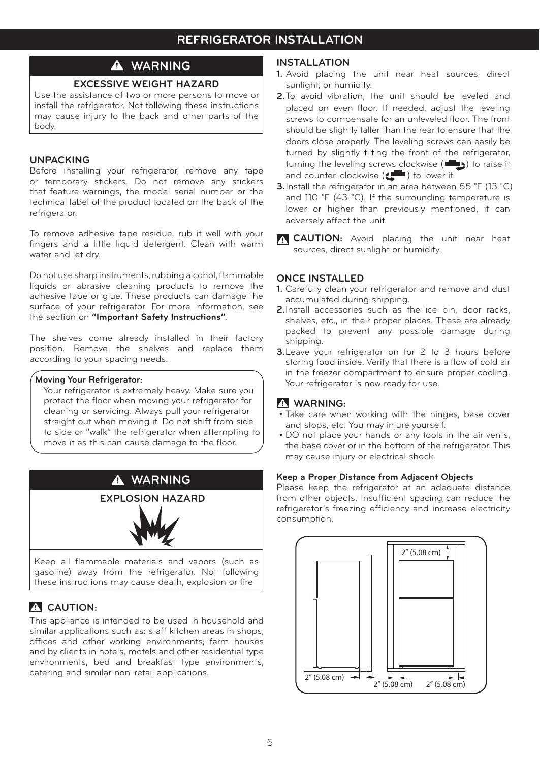# **WARNING**

## **EXCESSIVE WEIGHT HAZARD**

Use the assistance of two or more persons to move or install the refrigerator. Not following these instructions may cause injury to the back and other parts of the body.

## **UNPACKING**

Before installing your refrigerator, remove any tape or temporary stickers. Do not remove any stickers that feature warnings, the model serial number or the technical label of the product located on the back of the refrigerator.

To remove adhesive tape residue, rub it well with your fingers and a little liquid detergent. Clean with warm water and let dry.

Do not use sharp instruments, rubbing alcohol, flammable liquids or abrasive cleaning products to remove the adhesive tape or glue. These products can damage the surface of your refrigerator. For more information, see the section on **"Important Safety Instructions"**.

The shelves come already installed in their factory position. Remove the shelves and replace them according to your spacing needs.

#### **Moving Your Refrigerator:**

 Your refrigerator is extremely heavy. Make sure you protect the floor when moving your refrigerator for cleaning or servicing. Always pull your refrigerator straight out when moving it. Do not shift from side to side or "walk" the refrigerator when attempting to move it as this can cause damage to the floor.



gasoline) away from the refrigerator. Not following these instructions may cause death, explosion or fire

## **CAUTION:**

This appliance is intended to be used in household and similar applications such as: staff kitchen areas in shops, offices and other working environments; farm houses and by clients in hotels, motels and other residential type environments, bed and breakfast type environments, catering and similar non-retail applications.

#### **INSTALLATION**

- **1.** Avoid placing the unit near heat sources, direct sunlight, or humidity.
- **2.** To avoid vibration, the unit should be leveled and placed on even floor. If needed, adjust the leveling screws to compensate for an unleveled floor. The front should be slightly taller than the rear to ensure that the doors close properly. The leveling screws can easily be turned by slightly tilting the front of the refrigerator, turning the leveling screws clockwise ( $\Box$ ) to raise it and counter-clockwise ( $\Box$ ) to lower it.
- **3.** Install the refrigerator in an area between 55 °F (13 °C) and 110 °F (43 °C). If the surrounding temperature is lower or higher than previously mentioned, it can adversely affect the unit.
- **CAUTION:** Avoid placing the unit near heat sources, direct sunlight or humidity.

## **ONCE INSTALLED**

- **1.** Carefully clean your refrigerator and remove and dust accumulated during shipping.
- **2.**Install accessories such as the ice bin, door racks, shelves, etc., in their proper places. These are already packed to prevent any possible damage during shipping.
- **3.**Leave your refrigerator on for 2 to 3 hours before storing food inside. Verify that there is a flow of cold air in the freezer compartment to ensure proper cooling. Your refrigerator is now ready for use.

## **WARNING:**

- Take care when working with the hinges, base cover and stops, etc. You may injure yourself.
- DO not place your hands or any tools in the air vents, the base cover or in the bottom of the refrigerator. This may cause injury or electrical shock.

### **Keep a Proper Distance from Adjacent Objects**

Please keep the refrigerator at an adequate distance from other objects. Insufficient spacing can reduce the refrigerator's freezing efficiency and increase electricity consumption.

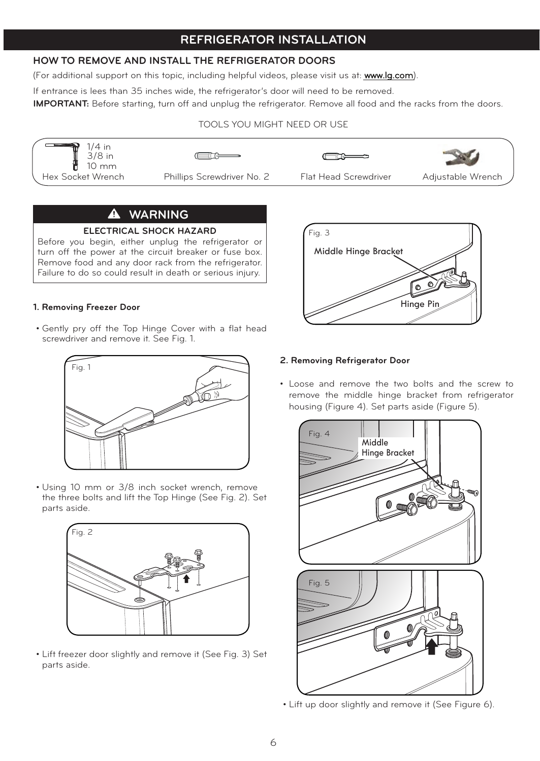## **HOW TO REMOVE AND INSTALL THE REFRIGERATOR DOORS**

(For additional support on this topic, including helpful videos, please visit us at: www.lg.com).

If entrance is lees than 35 inches wide, the refrigerator's door will need to be removed.

**IMPORTANT:** Before starting, turn off and unplug the refrigerator. Remove all food and the racks from the doors.

### TOOLS YOU MIGHT NEED OR USE



## **WARNING**

#### **ELECTRICAL SHOCK HAZARD**

Before you begin, either unplug the refrigerator or turn off the power at the circuit breaker or fuse box. Remove food and any door rack from the refrigerator. Failure to do so could result in death or serious injury.

### **1. Removing Freezer Door**

• Gently pry off the Top Hinge Cover with a flat head screwdriver and remove it. See Fig. 1.



• Using 10 mm or 3/8 inch socket wrench, remove the three bolts and lift the Top Hinge (See Fig. 2). Set parts aside.



• Lift freezer door slightly and remove it (See Fig. 3) Set parts aside.



## **2. Removing Refrigerator Door**

• Loose and remove the two bolts and the screw to remove the middle hinge bracket from refrigerator housing (Figure 4). Set parts aside (Figure 5).



• Lift up door slightly and remove it (See Figure 6).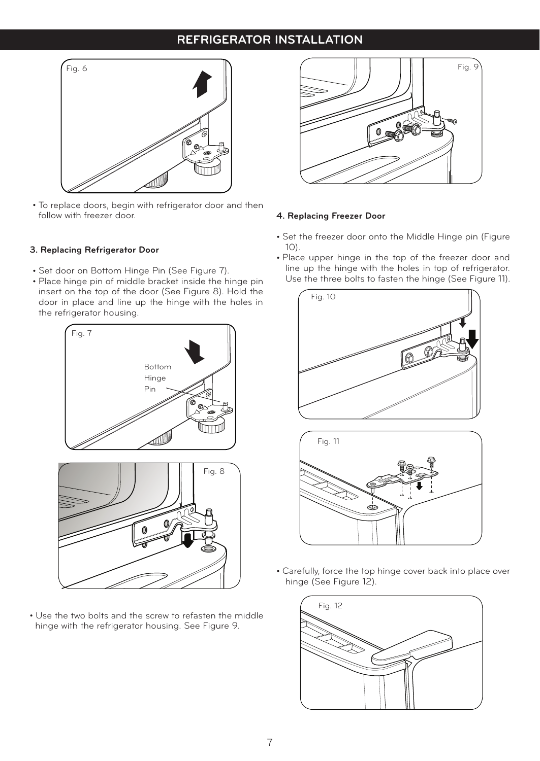# **REFRIGERATOR INSTALLATION REFRIGERATOR INSTALLATION**



To replace doors, begin with refrigerator door and then follow with freezer door.

### **3. Replacing Refrigerator Door**

- Set door on Bottom Hinge Pin (See Figure 7).
- Place hinge pin of middle bracket inside the hinge pin insert on the top of the door (See Figure 8). Hold the door in place and line up the hinge with the holes in the refrigerator housing.



Use the two bolts and the screw to refasten the middle hinge with the refrigerator housing. See Figure 9.



#### **4. Replacing Freezer Door**

- Set the freezer door onto the Middle Hinge pin (Figure 10).
- Place upper hinge in the top of the freezer door and line up the hinge with the holes in top of refrigerator. Use the three bolts to fasten the hinge (See Figure 11).





Carefully, force the top hinge cover back into place over hinge (See Figure 12).

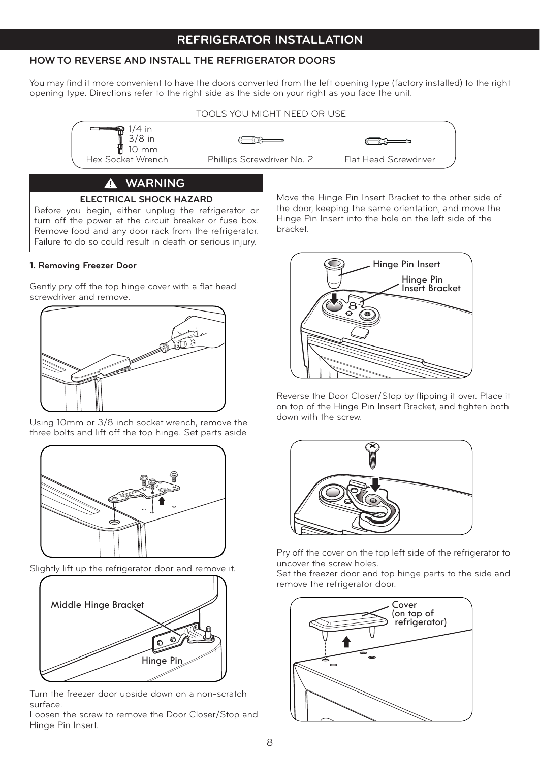## **HOW TO REVERSE AND INSTALL THE REFRIGERATOR DOORS**

You may find it more convenient to have the doors converted from the left opening type (factory installed) to the right opening type. Directions refer to the right side as the side on your right as you face the unit.



# **ELECTRICAL SHOCK HAZARD**

Before you begin, either unplug the refrigerator or turn off the power at the circuit breaker or fuse box. Remove food and any door rack from the refrigerator. Failure to do so could result in death or serious injury.

### **1. Removing Freezer Door**

Gently pry off the top hinge cover with a flat head screwdriver and remove.



Using 10mm or 3/8 inch socket wrench, remove the three bolts and lift off the top hinge. Set parts aside



Slightly lift up the refrigerator door and remove it.



Turn the freezer door upside down on a non-scratch surface.

Loosen the screw to remove the Door Closer/Stop and Hinge Pin Insert.

Move the Hinge Pin Insert Bracket to the other side of the door, keeping the same orientation, and move the Hinge Pin Insert into the hole on the left side of the bracket.



Reverse the Door Closer/Stop by flipping it over. Place it on top of the Hinge Pin Insert Bracket, and tighten both down with the screw.



Pry off the cover on the top left side of the refrigerator to uncover the screw holes.

Set the freezer door and top hinge parts to the side and remove the refrigerator door.

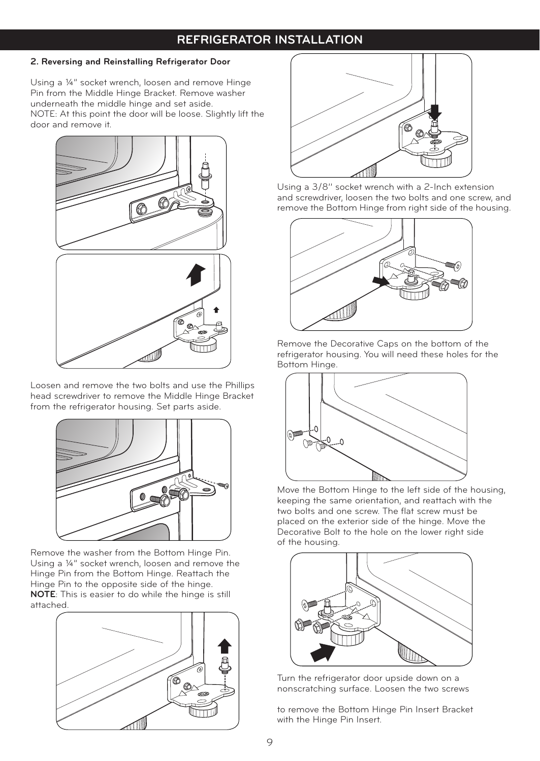## **REFRIGER REFRIGERATOR INSTALLATION**

## **2. Reversing and Reinstalling Refrigerator Door**

Using a ¼" socket wrench, loosen and remove Hinge Pin from the Middle Hinge Bracket. Remove washer underneath the middle hinge and set aside. NOTE: At this point the door will be loose. Slightly lift the door and remove it.



Loosen and remove the two bolts and use the Phillips head screwdriver to remove the Middle Hinge Bracket from the refrigerator housing. Set parts aside.



Remove the washer from the Bottom Hinge Pin. Using a ¼" socket wrench, loosen and remove the Hinge Pin from the Bottom Hinge. Reattach the Hinge Pin to the opposite side of the hinge. **NOTE**: This is easier to do while the hinge is still attached.





Using a 3/8'' socket wrench with a 2-Inch extension and screwdriver, loosen the two bolts and one screw, and remove the Bottom Hinge from right side of the housing.



Remove the Decorative Caps on the bottom of the refrigerator housing. You will need these holes for the Bottom Hinge.



Move the Bottom Hinge to the left side of the housing, keeping the same orientation, and reattach with the two bolts and one screw. The flat screw must be placed on the exterior side of the hinge. Move the Decorative Bolt to the hole on the lower right side of the housing.



Turn the refrigerator door upside down on a nonscratching surface. Loosen the two screws

to remove the Bottom Hinge Pin Insert Bracket with the Hinge Pin Insert.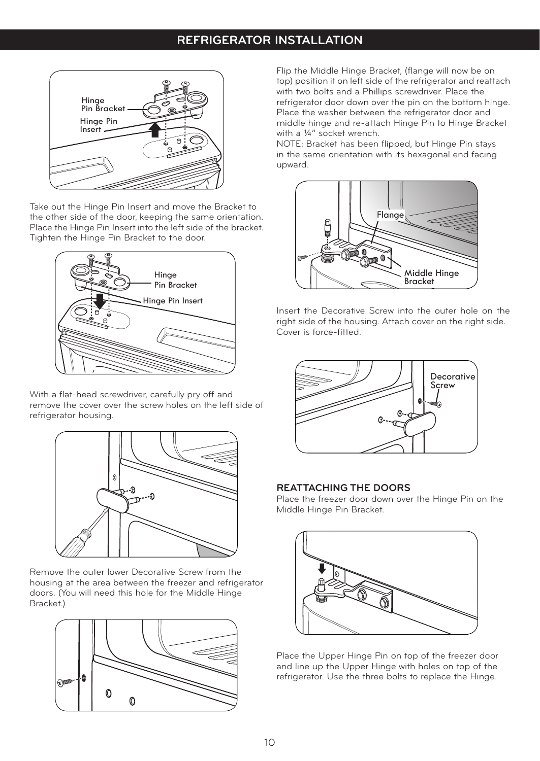

Take out the Hinge Pin Insert and move the Bracket to the other side of the door, keeping the same orientation. Place the Hinge Pin Insert into the left side of the bracket. Tighten the Hinge Pin Bracket to the door.



With a flat-head screwdriver, carefully pry off and remove the cover over the screw holes on the left side of refrigerator housing.



Remove the outer lower Decorative Screw from the housing at the area between the freezer and refrigerator doors. (You will need this hole for the Middle Hinge Bracket.)



Flip the Middle Hinge Bracket, (flange will now be on top) position it on left side of the refrigerator and reattach with two bolts and a Phillips screwdriver. Place the refrigerator door down over the pin on the bottom hinge. Place the washer between the refrigerator door and middle hinge and re-attach Hinge Pin to Hinge Bracket with a 1/4" socket wrench.

NOTE: Bracket has been flipped, but Hinge Pin stays in the same orientation with its hexagonal end facing upward.



Insert the Decorative Screw into the outer hole on the right side of the housing. Attach cover on the right side. Cover is force-fitted.



### **REATTACHING THE DOORS**

Place the freezer door down over the Hinge Pin on the Middle Hinge Pin Bracket.



Place the Upper Hinge Pin on top of the freezer door and line up the Upper Hinge with holes on top of the refrigerator. Use the three bolts to replace the Hinge.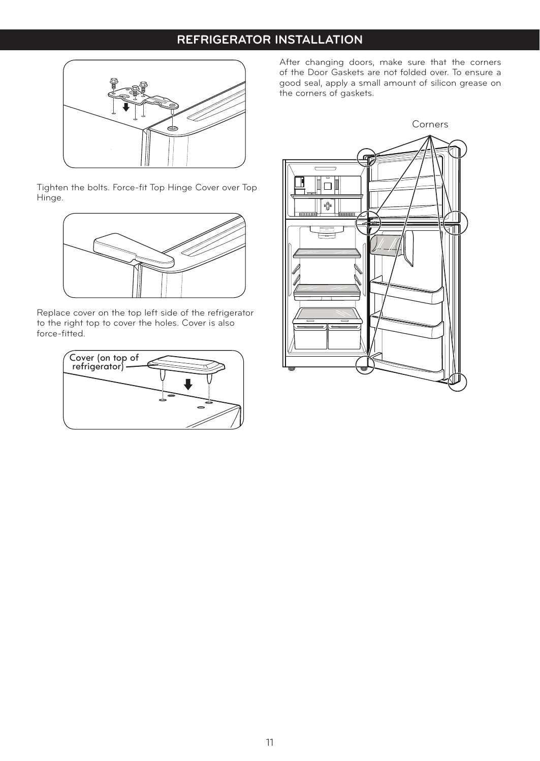## **REFRIGER REFRIGERATOR INSTALLATION**



Tighten the bolts. Force-fit Top Hinge Cover over Top Hinge.



Replace cover on the top left side of the refrigerator to the right top to cover the holes. Cover is also force-fitted.



After changing doors, make sure that the corners of the Door Gaskets are not folded over. To ensure a good seal, apply a small amount of silicon grease on the corners of gaskets.

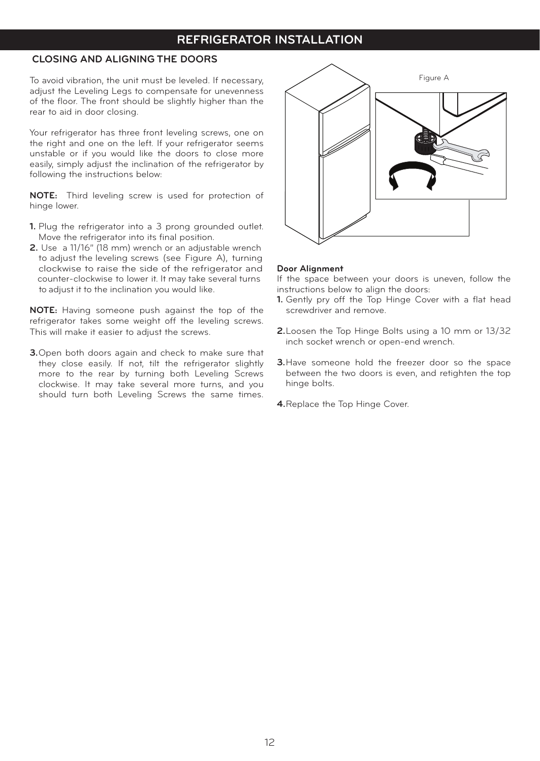## **REFRIGERATOR INSTALLATION REFRIGERATOR INSTALLATION**

## **CLOSING AND ALIGNING THE DOORS**

To avoid vibration, the unit must be leveled. If necessary, adjust the Leveling Legs to compensate for unevenness of the floor. The front should be slightly higher than the rear to aid in door closing.

Your refrigerator has three front leveling screws, one on the right and one on the left. If your refrigerator seems unstable or if you would like the doors to close more easily, simply adjust the inclination of the refrigerator by following the instructions below:

**NOTE:** Third leveling screw is used for protection of hinge lower.

- **1.** Plug the refrigerator into a 3 prong grounded outlet. Move the refrigerator into its final position.
- **2.** Use a 11/16" (18 mm) wrench or an adjustable wrench to adjust the leveling screws (see Figure A), turning clockwise to raise the side of the refrigerator and counter-clockwise to lower it. It may take several turns to adjust it to the inclination you would like.

**NOTE:** Having someone push against the top of the refrigerator takes some weight off the leveling screws. This will make it easier to adjust the screws.

**3.**Open both doors again and check to make sure that they close easily. If not, tilt the refrigerator slightly more to the rear by turning both Leveling Screws clockwise. It may take several more turns, and you should turn both Leveling Screws the same times.



#### **Door Alignment**

If the space between your doors is uneven, follow the instructions below to align the doors:

- **1.** Gently pry off the Top Hinge Cover with a flat head screwdriver and remove.
- **2.**Loosen the Top Hinge Bolts using a 10 mm or 13/32 inch socket wrench or open-end wrench.
- **3.**Have someone hold the freezer door so the space between the two doors is even, and retighten the top hinge bolts.
- **4.**Replace the Top Hinge Cover.